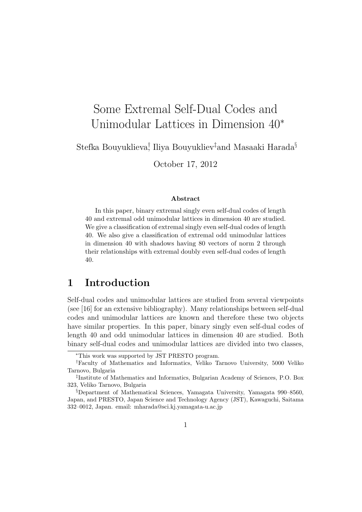# Some Extremal Self-Dual Codes and Unimodular Lattices in Dimension 40*<sup>∗</sup>*

Stefka Bouyuklieva*†* , Iliya Bouyukliev*‡*and Masaaki Harada*§*

October 17, 2012

#### **Abstract**

In this paper, binary extremal singly even self-dual codes of length 40 and extremal odd unimodular lattices in dimension 40 are studied. We give a classification of extremal singly even self-dual codes of length 40. We also give a classification of extremal odd unimodular lattices in dimension 40 with shadows having 80 vectors of norm 2 through their relationships with extremal doubly even self-dual codes of length 40.

### **1 Introduction**

Self-dual codes and unimodular lattices are studied from several viewpoints (see [16] for an extensive bibliography). Many relationships between self-dual codes and unimodular lattices are known and therefore these two objects have similar properties. In this paper, binary singly even self-dual codes of length 40 and odd unimodular lattices in dimension 40 are studied. Both binary self-dual codes and unimodular lattices are divided into two classes,

*<sup>∗</sup>*This work was supported by JST PRESTO program.

*<sup>†</sup>*Faculty of Mathematics and Informatics, Veliko Tarnovo University, 5000 Veliko Tarnovo, Bulgaria

*<sup>‡</sup>* Institute of Mathematics and Informatics, Bulgarian Academy of Sciences, P.O. Box 323, Veliko Tarnovo, Bulgaria

*<sup>§</sup>*Department of Mathematical Sciences, Yamagata University, Yamagata 990–8560, Japan, and PRESTO, Japan Science and Technology Agency (JST), Kawaguchi, Saitama 332–0012, Japan. email: mharada@sci.kj.yamagata-u.ac.jp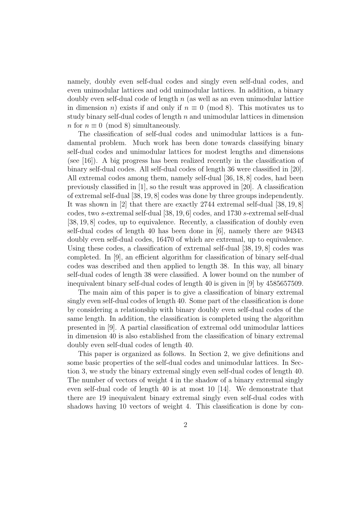namely, doubly even self-dual codes and singly even self-dual codes, and even unimodular lattices and odd unimodular lattices. In addition, a binary doubly even self-dual code of length *n* (as well as an even unimodular lattice in dimension *n*) exists if and only if  $n \equiv 0 \pmod{8}$ . This motivates us to study binary self-dual codes of length *n* and unimodular lattices in dimension *n* for  $n \equiv 0 \pmod{8}$  simultaneously.

The classification of self-dual codes and unimodular lattices is a fundamental problem. Much work has been done towards classifying binary self-dual codes and unimodular lattices for modest lengths and dimensions (see [16]). A big progress has been realized recently in the classification of binary self-dual codes. All self-dual codes of length 36 were classified in [20]. All extremal codes among them, namely self-dual [36*,* 18*,* 8] codes, had been previously classified in [1], so the result was approved in [20]. A classification of extremal self-dual [38*,* 19*,* 8] codes was done by three groups independently. It was shown in [2] that there are exactly 2744 extremal self-dual [38*,* 19*,* 8] codes, two *s*-extremal self-dual [38*,* 19*,* 6] codes, and 1730 *s*-extremal self-dual [38, 19, 8] codes, up to equivalence. Recently, a classification of doubly even self-dual codes of length 40 has been done in [6], namely there are 94343 doubly even self-dual codes, 16470 of which are extremal, up to equivalence. Using these codes, a classification of extremal self-dual [38*,* 19*,* 8] codes was completed. In [9], an efficient algorithm for classification of binary self-dual codes was described and then applied to length 38. In this way, all binary self-dual codes of length 38 were classified. A lower bound on the number of inequivalent binary self-dual codes of length 40 is given in [9] by 4585657509.

The main aim of this paper is to give a classification of binary extremal singly even self-dual codes of length 40. Some part of the classification is done by considering a relationship with binary doubly even self-dual codes of the same length. In addition, the classification is completed using the algorithm presented in [9]. A partial classification of extremal odd unimodular lattices in dimension 40 is also established from the classification of binary extremal doubly even self-dual codes of length 40.

This paper is organized as follows. In Section 2, we give definitions and some basic properties of the self-dual codes and unimodular lattices. In Section 3, we study the binary extremal singly even self-dual codes of length 40. The number of vectors of weight 4 in the shadow of a binary extremal singly even self-dual code of length 40 is at most 10 [14]. We demonstrate that there are 19 inequivalent binary extremal singly even self-dual codes with shadows having 10 vectors of weight 4. This classification is done by con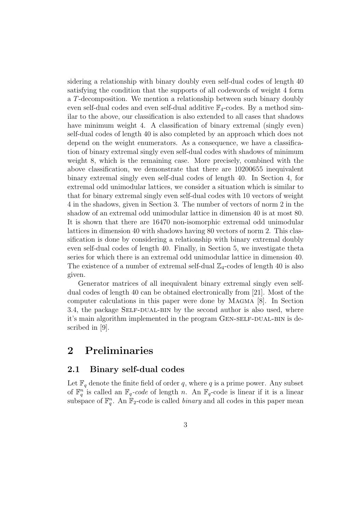sidering a relationship with binary doubly even self-dual codes of length 40 satisfying the condition that the supports of all codewords of weight 4 form a *T*-decomposition. We mention a relationship between such binary doubly even self-dual codes and even self-dual additive  $\mathbb{F}_4$ -codes. By a method similar to the above, our classification is also extended to all cases that shadows have minimum weight 4. A classification of binary extremal (singly even) self-dual codes of length 40 is also completed by an approach which does not depend on the weight enumerators. As a consequence, we have a classification of binary extremal singly even self-dual codes with shadows of minimum weight 8, which is the remaining case. More precisely, combined with the above classification, we demonstrate that there are 10200655 inequivalent binary extremal singly even self-dual codes of length 40. In Section 4, for extremal odd unimodular lattices, we consider a situation which is similar to that for binary extremal singly even self-dual codes with 10 vectors of weight 4 in the shadows, given in Section 3. The number of vectors of norm 2 in the shadow of an extremal odd unimodular lattice in dimension 40 is at most 80. It is shown that there are 16470 non-isomorphic extremal odd unimodular lattices in dimension 40 with shadows having 80 vectors of norm 2. This classification is done by considering a relationship with binary extremal doubly even self-dual codes of length 40. Finally, in Section 5, we investigate theta series for which there is an extremal odd unimodular lattice in dimension 40. The existence of a number of extremal self-dual  $\mathbb{Z}_4$ -codes of length 40 is also given.

Generator matrices of all inequivalent binary extremal singly even selfdual codes of length 40 can be obtained electronically from [21]. Most of the computer calculations in this paper were done by Magma [8]. In Section 3.4, the package SELF-DUAL-BIN by the second author is also used, where it's main algorithm implemented in the program GEN-SELF-DUAL-BIN is described in [9].

## **2 Preliminaries**

### **2.1 Binary self-dual codes**

Let  $\mathbb{F}_q$  denote the finite field of order q, where q is a prime power. Any subset of  $\mathbb{F}_q^n$  is called an  $\mathbb{F}_q$ *-code* of length *n*. An  $\mathbb{F}_q$ -code is linear if it is a linear subspace of  $\mathbb{F}_q^n$ . An  $\mathbb{F}_2$ -code is called *binary* and all codes in this paper mean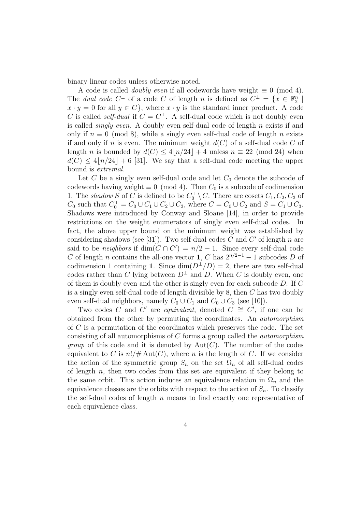binary linear codes unless otherwise noted.

A code is called *doubly even* if all codewords have weight  $\equiv 0 \pmod{4}$ . The *dual code*  $C^{\perp}$  of a code  $C$  of length  $n$  is defined as  $C^{\perp} = \{x \in \mathbb{F}_2^n \mid$  $x \cdot y = 0$  for all  $y \in C$ *}*, where  $x \cdot y$  is the standard inner product. A code *C* is called *self-dual* if  $C = C^{\perp}$ . A self-dual code which is not doubly even is called *singly even*. A doubly even self-dual code of length *n* exists if and only if  $n \equiv 0 \pmod{8}$ , while a singly even self-dual code of length *n* exists if and only if *n* is even. The minimum weight  $d(C)$  of a self-dual code C of length *n* is bounded by  $d(C) \leq 4|n/24| + 4$  unless  $n \equiv 22 \pmod{24}$  when  $d(C) \leq 4|n/24| + 6$  [31]. We say that a self-dual code meeting the upper bound is *extremal*.

Let  $C$  be a singly even self-dual code and let  $C_0$  denote the subcode of codewords having weight  $\equiv 0 \pmod{4}$ . Then  $C_0$  is a subcode of codimension 1. The *shadow S* of *C* is defined to be  $C_0^{\perp} \setminus C$ . There are cosets  $C_1, C_2, C_3$  of  $C_0$  such that  $C_0^{\perp} = C_0 \cup C_1 \cup C_2 \cup C_3$ , where  $C = C_0 \cup C_2$  and  $S = C_1 \cup C_3$ . Shadows were introduced by Conway and Sloane [14], in order to provide restrictions on the weight enumerators of singly even self-dual codes. In fact, the above upper bound on the minimum weight was established by considering shadows (see [31]). Two self-dual codes  $C$  and  $C'$  of length  $n$  are said to be *neighbors* if  $\dim(C \cap C') = n/2 - 1$ . Since every self-dual code *C* of length *n* contains the all-one vector **1**, *C* has  $2^{n/2-1} - 1$  subcodes *D* of codimension 1 containing **1**. Since  $\dim(D^{\perp}/D) = 2$ , there are two self-dual codes rather than *C* lying between  $D^{\perp}$  and *D*. When *C* is doubly even, one of them is doubly even and the other is singly even for each subcode *D*. If *C* is a singly even self-dual code of length divisible by 8, then *C* has two doubly even self-dual neighbors, namely  $C_0 \cup C_1$  and  $C_0 \cup C_3$  (see [10]).

Two codes *C* and *C*' are *equivalent*, denoted  $C \cong C'$ , if one can be obtained from the other by permuting the coordinates. An *automorphism* of *C* is a permutation of the coordinates which preserves the code. The set consisting of all automorphisms of *C* forms a group called the *automorphism group* of this code and it is denoted by  $Aut(C)$ . The number of the codes equivalent to *C* is  $n!/\# \text{Aut}(C)$ , where *n* is the length of *C*. If we consider the action of the symmetric group  $S_n$  on the set  $\Omega_n$  of all self-dual codes of length *n*, then two codes from this set are equivalent if they belong to the same orbit. This action induces an equivalence relation in  $\Omega_n$  and the equivalence classes are the orbits with respect to the action of  $S_n$ . To classify the self-dual codes of length *n* means to find exactly one representative of each equivalence class.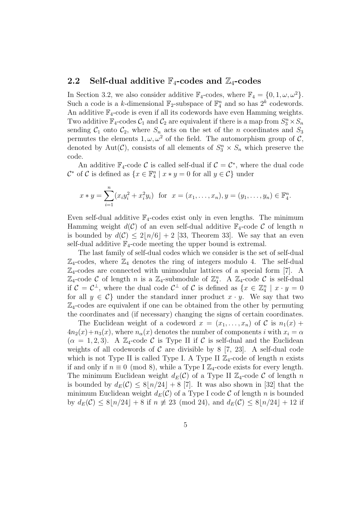#### **2.2** Self-dual additive  $\mathbb{F}_4$ -codes and  $\mathbb{Z}_4$ -codes

In Section 3.2, we also consider additive  $\mathbb{F}_4$ -codes, where  $\mathbb{F}_4 = \{0, 1, \omega, \omega^2\}.$ Such a code is a *k*-dimensional  $\mathbb{F}_2$ -subspace of  $\mathbb{F}_4^n$  and so has  $2^k$  codewords. An additive  $\mathbb{F}_4$ -code is even if all its codewords have even Hamming weights. Two additive  $\mathbb{F}_4$ -codes  $\mathcal{C}_1$  and  $\mathcal{C}_2$  are equivalent if there is a map from  $S_3^n \times S_n$ sending  $C_1$  onto  $C_2$ , where  $S_n$  acts on the set of the *n* coordinates and  $S_3$ permutes the elements  $1, \omega, \omega^2$  of the field. The automorphism group of  $\mathcal{C}$ , denoted by Aut(*C*), consists of all elements of  $S_3^n \times S_n$  which preserve the code.

An additive  $\mathbb{F}_4$ -code  $\mathcal{C}$  is called self-dual if  $\mathcal{C} = \mathcal{C}^*$ , where the dual code  $\mathcal{C}^*$  of  $\mathcal{C}$  is defined as  $\{x \in \mathbb{F}_4^n \mid x * y = 0 \text{ for all } y \in \mathcal{C}\}\$  under

$$
x * y = \sum_{i=1}^{n} (x_i y_i^2 + x_i^2 y_i)
$$
 for  $x = (x_1, ..., x_n), y = (y_1, ..., y_n) \in \mathbb{F}_4^n$ .

Even self-dual additive  $\mathbb{F}_4$ -codes exist only in even lengths. The minimum Hamming weight  $d(C)$  of an even self-dual additive  $\mathbb{F}_4$ -code C of length *n* is bounded by  $d(C) \leq 2\lfloor n/6 \rfloor + 2$  [33, Theorem 33]. We say that an even self-dual additive  $\mathbb{F}_4$ -code meeting the upper bound is extremal.

The last family of self-dual codes which we consider is the set of self-dual  $\mathbb{Z}_4$ -codes, where  $\mathbb{Z}_4$  denotes the ring of integers modulo 4. The self-dual  $\mathbb{Z}_4$ -codes are connected with unimodular lattices of a special form [7]. A  $\mathbb{Z}_4$ -code *C* of length *n* is a  $\mathbb{Z}_4$ -submodule of  $\mathbb{Z}_4^n$ . A  $\mathbb{Z}_4$ -code *C* is self-dual if  $C = C^{\perp}$ , where the dual code  $C^{\perp}$  of C is defined as  $\{x \in \mathbb{Z}_{4}^{n} \mid x \cdot y = 0\}$ for all  $y \in C$ } under the standard inner product  $x \cdot y$ . We say that two  $\mathbb{Z}_4$ -codes are equivalent if one can be obtained from the other by permuting the coordinates and (if necessary) changing the signs of certain coordinates.

The Euclidean weight of a codeword  $x = (x_1, \ldots, x_n)$  of C is  $n_1(x)$  +  $4n_2(x) + n_3(x)$ , where  $n_\alpha(x)$  denotes the number of components *i* with  $x_i = \alpha$  $(\alpha = 1, 2, 3)$ . A  $\mathbb{Z}_4$ -code C is Type II if C is self-dual and the Euclidean weights of all codewords of  $C$  are divisible by  $8 \, [7, 23]$ . A self-dual code which is not Type II is called Type I. A Type II  $\mathbb{Z}_4$ -code of length *n* exists if and only if  $n \equiv 0 \pmod{8}$ , while a Type I  $\mathbb{Z}_4$ -code exists for every length. The minimum Euclidean weight  $d_E(\mathcal{C})$  of a Type II  $\mathbb{Z}_4$ -code  $\mathcal{C}$  of length *n* is bounded by  $d_E(\mathcal{C}) \leq 8|n/24| + 8$  [7]. It was also shown in [32] that the minimum Euclidean weight  $d_E(\mathcal{C})$  of a Type I code  $\mathcal C$  of length *n* is bounded by  $d_E(\mathcal{C}) \leq 8|n/24| + 8$  if  $n \neq 23 \pmod{24}$ , and  $d_E(\mathcal{C}) \leq 8|n/24| + 12$  if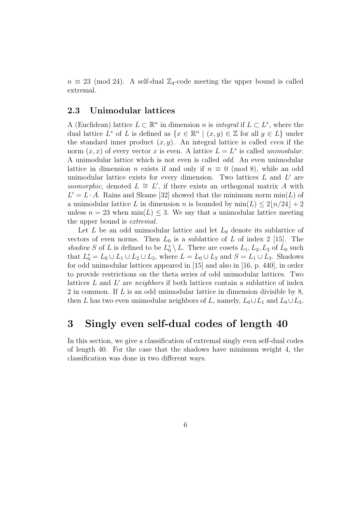$n \equiv 23 \pmod{24}$ . A self-dual  $\mathbb{Z}_4$ -code meeting the upper bound is called extremal.

### **2.3 Unimodular lattices**

A (Euclidean) lattice  $L \subset \mathbb{R}^n$  in dimension *n* is *integral* if  $L \subset L^*$ , where the dual lattice  $L^*$  of  $L$  is defined as  $\{x \in \mathbb{R}^n \mid (x, y) \in \mathbb{Z} \text{ for all } y \in L\}$  under the standard inner product (*x, y*). An integral lattice is called *even* if the norm  $(x, x)$  of every vector *x* is even. A lattice  $L = L^*$  is called *unimodular*. A unimodular lattice which is not even is called *odd*. An even unimodular lattice in dimension *n* exists if and only if  $n \equiv 0 \pmod{8}$ , while an odd unimodular lattice exists for every dimension. Two lattices  $L$  and  $L'$  are *isomorphic*, denoted  $L \cong L'$ , if there exists an orthogonal matrix *A* with  $L' = L \cdot A$ . Rains and Sloane [32] showed that the minimum norm min(*L*) of a unimodular lattice L in dimension n is bounded by  $\min(L) \leq 2\lfloor n/24 \rfloor + 2$ unless  $n = 23$  when  $\min(L) \leq 3$ . We say that a unimodular lattice meeting the upper bound is *extremal*.

Let *L* be an odd unimodular lattice and let  $L_0$  denote its sublattice of vectors of even norms. Then  $L_0$  is a sublattice of  $L$  of index 2 [15]. The *shadow S* of *L* is defined to be  $L_0^* \setminus L$ . There are cosets  $L_1, L_2, L_3$  of  $L_0$  such that  $L_0^* = L_0 ∪ L_1 ∪ L_2 ∪ L_3$ , where  $L = L_0 ∪ L_2$  and  $S = L_1 ∪ L_3$ . Shadows for odd unimodular lattices appeared in [15] and also in [16, p. 440], in order to provide restrictions on the theta series of odd unimodular lattices. Two lattices  $L$  and  $L'$  are *neighbors* if both lattices contain a sublattice of index 2 in common. If *L* is an odd unimodular lattice in dimension divisible by 8, then *L* has two even unimodular neighbors of *L*, namely,  $L_0 \cup L_1$  and  $L_0 \cup L_3$ .

### **3 Singly even self-dual codes of length 40**

In this section, we give a classification of extremal singly even self-dual codes of length 40. For the case that the shadows have minimum weight 4, the classification was done in two different ways.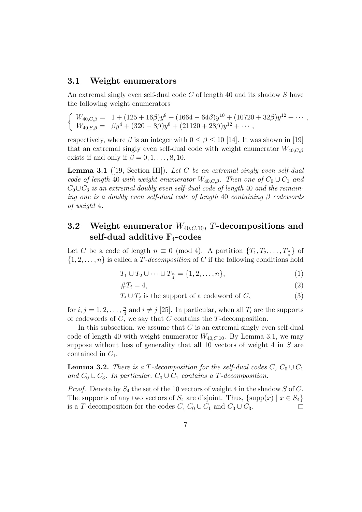#### **3.1 Weight enumerators**

An extremal singly even self-dual code *C* of length 40 and its shadow *S* have the following weight enumerators

$$
\begin{cases}\nW_{40,C,\beta} = 1 + (125 + 16\beta)y^8 + (1664 - 64\beta)y^{10} + (10720 + 32\beta)y^{12} + \cdots, \\
W_{40,S,\beta} = \beta y^4 + (320 - 8\beta)y^8 + (21120 + 28\beta)y^{12} + \cdots,\n\end{cases}
$$

respectively, where  $\beta$  is an integer with  $0 \leq \beta \leq 10$  [14]. It was shown in [19] that an extremal singly even self-dual code with weight enumerator  $W_{40,C,\beta}$ exists if and only if  $\beta = 0, 1, \ldots, 8, 10$ .

**Lemma 3.1** ([19, Section III])**.** *Let C be an extremal singly even self-dual code of length* 40 *with weight enumerator*  $W_{40,C,\beta}$ *. Then one of*  $C_0 \cup C_1$  *and*  $C_0 \cup C_3$  *is an extremal doubly even self-dual code of length* 40 *and the remaining one is a doubly even self-dual code of length* 40 *containing β codewords of weight* 4*.*

### **3.2 Weight enumerator** *W*40*,C,*10**,** *T***-decompositions and self-dual additive** F4**-codes**

Let *C* be a code of length  $n \equiv 0 \pmod{4}$ . A partition  $\{T_1, T_2, \ldots, T_{\frac{n}{4}}\}$  of  $\{1, 2, \ldots, n\}$  is called a *T-decomposition* of *C* if the following conditions hold

$$
T_1 \cup T_2 \cup \dots \cup T_{\frac{n}{4}} = \{1, 2, \dots, n\},\tag{1}
$$

$$
\#T_i = 4,\tag{2}
$$

 $T_i \cup T_j$  is the support of a codeword of *C*, (3)

for  $i, j = 1, 2, \ldots, \frac{n}{4}$  $\frac{n}{4}$  and  $i \neq j$  [25]. In particular, when all  $T_i$  are the supports of codewords of *C*, we say that *C* contains the *T*-decomposition.

In this subsection, we assume that *C* is an extremal singly even self-dual code of length 40 with weight enumerator  $W_{40,C,10}$ . By Lemma 3.1, we may suppose without loss of generality that all 10 vectors of weight 4 in *S* are contained in *C*1.

**Lemma 3.2.** *There is a T*-decomposition for the self-dual codes  $C$ ,  $C_0 \cup C_1$ *and*  $C_0$  ∪  $C_3$ *. In particular,*  $C_0$  ∪  $C_1$  *contains a T-decomposition.* 

*Proof.* Denote by *S*<sup>4</sup> the set of the 10 vectors of weight 4 in the shadow *S* of *C*. The supports of any two vectors of  $S_4$  are disjoint. Thus,  $\{\text{supp}(x) \mid x \in S_4\}$ is a *T*-decomposition for the codes  $C, C_0 \cup C_1$  and  $C_0 \cup C_3$ .  $\Box$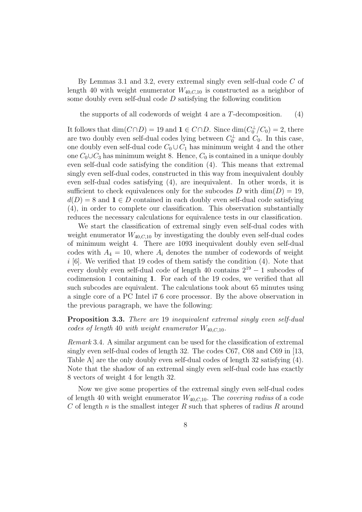By Lemmas 3.1 and 3.2, every extremal singly even self-dual code *C* of length 40 with weight enumerator  $W_{40,C,10}$  is constructed as a neighbor of some doubly even self-dual code *D* satisfying the following condition

the supports of all codewords of weight 4 are a *T*-decomposition*.* (4)

It follows that  $\dim(C \cap D) = 19$  and  $\mathbf{1} \in C \cap D$ . Since  $\dim(C_0^{\perp}/C_0) = 2$ , there are two doubly even self-dual codes lying between  $C_0^{\perp}$  and  $C_0$ . In this case, one doubly even self-dual code  $C_0 \cup C_1$  has minimum weight 4 and the other one  $C_0 \cup C_3$  has minimum weight 8. Hence,  $C_0$  is contained in a unique doubly even self-dual code satisfying the condition (4). This means that extremal singly even self-dual codes, constructed in this way from inequivalent doubly even self-dual codes satisfying (4), are inequivalent. In other words, it is sufficient to check equivalences only for the subcodes *D* with  $\dim(D) = 19$ ,  $d(D) = 8$  and  $\mathbf{1} \in D$  contained in each doubly even self-dual code satisfying (4), in order to complete our classification. This observation substantially reduces the necessary calculations for equivalence tests in our classification.

We start the classification of extremal singly even self-dual codes with weight enumerator  $W_{40,C,10}$  by investigating the doubly even self-dual codes of minimum weight 4. There are 1093 inequivalent doubly even self-dual codes with  $A_4 = 10$ , where  $A_i$  denotes the number of codewords of weight *i* [6]. We verified that 19 codes of them satisfy the condition (4). Note that every doubly even self-dual code of length 40 contains 2<sup>19</sup> *−* 1 subcodes of codimension 1 containing **1**. For each of the 19 codes, we verified that all such subcodes are equivalent. The calculations took about 65 minutes using a single core of a PC Intel i7 6 core processor. By the above observation in the previous paragraph, we have the following:

**Proposition 3.3.** *There are* 19 *inequivalent extremal singly even self-dual codes of length* 40 *with weight enumerator*  $W_{40,C,10}$ *.* 

*Remark* 3.4*.* A similar argument can be used for the classification of extremal singly even self-dual codes of length 32. The codes C67, C68 and C69 in [13, Table A] are the only doubly even self-dual codes of length 32 satisfying (4). Note that the shadow of an extremal singly even self-dual code has exactly 8 vectors of weight 4 for length 32.

Now we give some properties of the extremal singly even self-dual codes of length 40 with weight enumerator *W*40*,C,*10. The *covering radius* of a code *C* of length *n* is the smallest integer *R* such that spheres of radius *R* around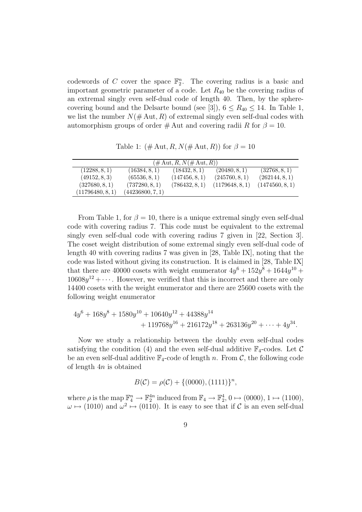codewords of *C* cover the space  $\mathbb{F}_2^n$ . The covering radius is a basic and important geometric parameter of a code. Let *R*<sup>40</sup> be the covering radius of an extremal singly even self-dual code of length 40. Then, by the spherecovering bound and the Delsarte bound (see [3]),  $6 \leq R_{40} \leq 14$ . In Table 1, we list the number  $N(\text{\# Aut}, R)$  of extremal singly even self-dual codes with automorphism groups of order  $\#$  Aut and covering radii *R* for  $\beta = 10$ .

Table 1:  $(\# \text{Aut}, R, N(\# \text{Aut}, R))$  for  $\beta = 10$ 

| $(\# \text{Aut}, R, N(\# \text{Aut}, R))$ |                  |                |                 |                 |  |  |  |
|-------------------------------------------|------------------|----------------|-----------------|-----------------|--|--|--|
| (12288, 8, 1)                             | (16384, 8, 1)    | (18432, 8, 1)  | (20480, 8, 1)   | (32768, 8, 1)   |  |  |  |
| (49152, 8, 3)                             | (65536, 8, 1)    | (147456, 8, 1) | (245760, 8, 1)  | (262144, 8, 1)  |  |  |  |
| (327680, 8, 1)                            | (737280, 8, 1)   | (786432, 8, 1) | (1179648, 8, 1) | (1474560, 8, 1) |  |  |  |
| (11796480, 8, 1)                          | (44236800, 7, 1) |                |                 |                 |  |  |  |

From Table 1, for  $\beta = 10$ , there is a unique extremal singly even self-dual code with covering radius 7. This code must be equivalent to the extremal singly even self-dual code with covering radius 7 given in [22, Section 3]. The coset weight distribution of some extremal singly even self-dual code of length 40 with covering radius 7 was given in [28, Table IX], noting that the code was listed without giving its construction. It is claimed in [28, Table IX] that there are 40000 cosets with weight enumerator  $4y^6 + 152y^8 + 1644y^{10} +$  $10608y^{12} + \cdots$ . However, we verified that this is incorrect and there are only 14400 cosets with the weight enumerator and there are 25600 cosets with the following weight enumerator

$$
4y^{6} + 168y^{8} + 1580y^{10} + 10640y^{12} + 44388y^{14}
$$
  
+ 119768y<sup>16</sup> + 216172y<sup>18</sup> + 263136y<sup>20</sup> + ... + 4y<sup>34</sup>.

Now we study a relationship between the doubly even self-dual codes satisfying the condition (4) and the even self-dual additive  $\mathbb{F}_4$ -codes. Let  $\mathcal C$ be an even self-dual additive  $\mathbb{F}_4$ -code of length *n*. From *C*, the following code of length 4*n* is obtained

$$
B(C) = \rho(C) + \{(0000), (1111)\}^n,
$$

where  $\rho$  is the map  $\mathbb{F}_4^n \to \mathbb{F}_2^{4n}$  induced from  $\mathbb{F}_4 \to \mathbb{F}_2^4$ ,  $0 \mapsto (0000)$ ,  $1 \mapsto (1100)$ ,  $\omega \mapsto (1010)$  and  $\omega^2 \mapsto (0110)$ . It is easy to see that if *C* is an even self-dual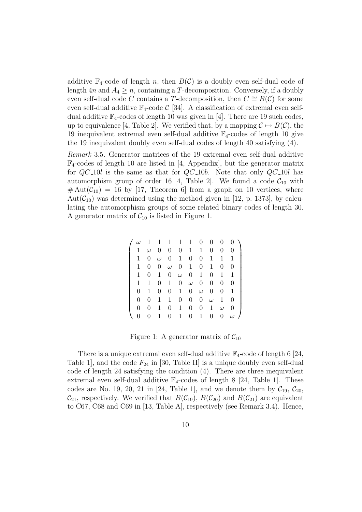additive  $\mathbb{F}_4$ -code of length *n*, then  $B(\mathcal{C})$  is a doubly even self-dual code of length  $4n$  and  $A_4 \geq n$ , containing a *T*-decomposition. Conversely, if a doubly even self-dual code *C* contains a *T*-decomposition, then  $C \cong B(\mathcal{C})$  for some even self-dual additive  $\mathbb{F}_4$ -code  $\mathcal{C}$  [34]. A classification of extremal even selfdual additive  $\mathbb{F}_4$ -codes of length 10 was given in [4]. There are 19 such codes, up to equivalence [4, Table 2]. We verified that, by a mapping  $\mathcal{C} \mapsto B(\mathcal{C})$ , the 19 inequivalent extremal even self-dual additive  $\mathbb{F}_4$ -codes of length 10 give the 19 inequivalent doubly even self-dual codes of length 40 satisfying (4).

*Remark* 3.5*.* Generator matrices of the 19 extremal even self-dual additive  $\mathbb{F}_4$ -codes of length 10 are listed in [4, Appendix], but the generator matrix for *QC* 10*l* is the same as that for *QC* 10*b*. Note that only *QC* 10*l* has automorphism group of order 16 [4, Table 2]. We found a code  $C_{10}$  with  $# \text{Aut}(\mathcal{C}_{10}) = 16$  by [17, Theorem 6] from a graph on 10 vertices, where Aut $(\mathcal{C}_{10})$  was determined using the method given in [12, p. 1373], by calculating the automorphism groups of some related binary codes of length 30. A generator matrix of  $C_{10}$  is listed in Figure 1.

| $\omega$       | 1        | 1        | $\mathbf{1}$     |                  | $1\quad1$        | $\theta$         | $\theta$         | 0              | 0              |
|----------------|----------|----------|------------------|------------------|------------------|------------------|------------------|----------------|----------------|
| 1              | $\omega$ | $\theta$ | $\theta$         | $\boldsymbol{0}$ | $\mathbf{1}$     | $\mathbf{1}$     | $\theta$         | $\theta$       | 0              |
| 1              | 0        | $\omega$ | $\theta$         | 1                | $\overline{0}$   | $\theta$         | 1                | 1              | 1              |
| 1              | 0        | 0        | $\omega$         | $\boldsymbol{0}$ | $\mathbf{1}$     | $\overline{0}$   | 1                | $\theta$       | $\overline{0}$ |
| 1              | 0        | 1        | $\overline{0}$   | $\omega$         | $\overline{0}$   | $\mathbf{1}$     | $\overline{0}$   | 1              | 1              |
| 1              | 1        | 0        | 1                | $\theta$         | $\omega$         | $\boldsymbol{0}$ | 0                | $\overline{0}$ | 0              |
| $\overline{0}$ | 1        | 0        | $\boldsymbol{0}$ | 1                | $\overline{0}$   | $\omega$         | 0                | $\theta$       | 1              |
| $\theta$       | 0        | 1        | 1                | $\overline{0}$   | $\overline{0}$   | 0                | $\omega$         | $\mathbf 1$    | 0              |
| $\Omega$       | 0        | 1        | $\theta$         | 1                | $\boldsymbol{0}$ | $\boldsymbol{0}$ | 1                | $\omega$       | 0              |
| 0              | 0        | 1        | $\overline{0}$   | $\mathbf{1}$     | $\boldsymbol{0}$ | $\mathbf{1}$     | $\boldsymbol{0}$ | 0              | $\omega$       |

Figure 1: A generator matrix of  $C_{10}$ 

There is a unique extremal even self-dual additive  $\mathbb{F}_4$ -code of length 6 [24, Table 1, and the code  $F_{24}$  in [30, Table II] is a unique doubly even self-dual code of length 24 satisfying the condition (4). There are three inequivalent extremal even self-dual additive  $\mathbb{F}_4$ -codes of length 8 [24, Table 1]. These codes are No. 19, 20, 21 in [24, Table 1], and we denote them by  $C_{19}$ ,  $C_{20}$ ,  $\mathcal{C}_{21}$ , respectively. We verified that  $B(\mathcal{C}_{19})$ ,  $B(\mathcal{C}_{20})$  and  $B(\mathcal{C}_{21})$  are equivalent to C67, C68 and C69 in [13, Table A], respectively (see Remark 3.4). Hence,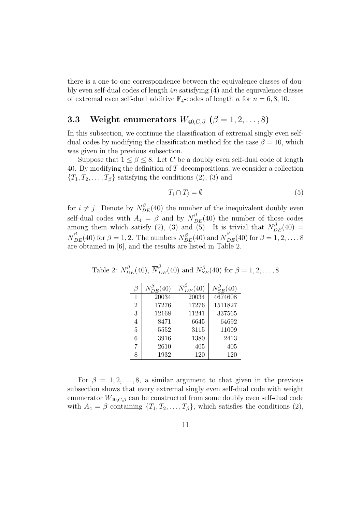there is a one-to-one correspondence between the equivalence classes of doubly even self-dual codes of length 4*n* satisfying (4) and the equivalence classes of extremal even self-dual additive  $\mathbb{F}_4$ -codes of length *n* for  $n = 6, 8, 10$ .

### **3.3** Weight enumerators  $W_{40,C,\beta}$  ( $\beta = 1, 2, ..., 8$ )

In this subsection, we continue the classification of extremal singly even selfdual codes by modifying the classification method for the case  $\beta = 10$ , which was given in the previous subsection.

Suppose that  $1 \leq \beta \leq 8$ . Let *C* be a doubly even self-dual code of length 40. By modifying the definition of *T*-decompositions, we consider a collection  ${T_1, T_2, \ldots, T_\beta}$  satisfying the conditions (2), (3) and

$$
T_i \cap T_j = \emptyset \tag{5}
$$

for  $i \neq j$ . Denote by  $N_{DE}^{\beta}(40)$  the number of the inequivalent doubly even self-dual codes with  $A_4 = \beta$  and by  $\overline{N}_{DE}^{\beta}(40)$  the number of those codes among them which satisfy (2), (3) and (5). It is trivial that  $N_{DE}^{\beta}(40)$  =  $\overline{N}_{DE}^{\beta}(40)$  for  $\beta = 1, 2$ . The numbers  $N_{DE}^{\beta}(40)$  and  $\overline{N}_{DE}^{\beta}(40)$  for  $\beta = 1, 2, \ldots, 8$ are obtained in [6], and the results are listed in Table 2.

|                | (40)  | $\tilde{D}$ $E(40)$ | (40)    |
|----------------|-------|---------------------|---------|
| 1              | 20034 | 20034               | 4674608 |
| $\overline{2}$ | 17276 | 17276               | 1511827 |
| 3              | 12168 | 11241               | 337565  |
| 4              | 8471  | 6645                | 64692   |
| 5              | 5552  | 3115                | 11009   |
| 6              | 3916  | 1380                | 2413    |
| 7              | 2610  | 405                 | 405     |
|                | 1932  | 120                 | 120     |

Table 2:  $N_{DE}^{\beta}(40)$ ,  $\overline{N}_{DE}^{\beta}(40)$  and  $N_{SE}^{\beta}(40)$  for  $\beta = 1, 2, ..., 8$ 

For  $\beta = 1, 2, \ldots, 8$ , a similar argument to that given in the previous subsection shows that every extremal singly even self-dual code with weight enumerator  $W_{40,C,\beta}$  can be constructed from some doubly even self-dual code with  $A_4 = \beta$  containing  $\{T_1, T_2, \ldots, T_\beta\}$ , which satisfies the conditions (2),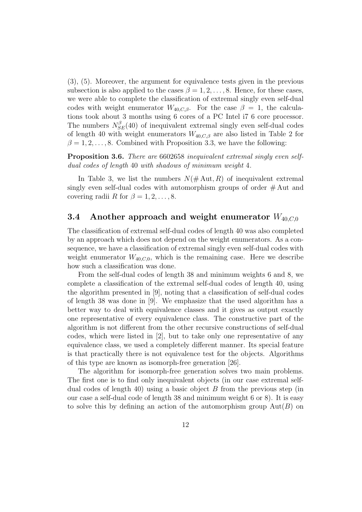(3), (5). Moreover, the argument for equivalence tests given in the previous subsection is also applied to the cases  $\beta = 1, 2, \ldots, 8$ . Hence, for these cases, we were able to complete the classification of extremal singly even self-dual codes with weight enumerator  $W_{40,C,\beta}$ . For the case  $\beta = 1$ , the calculations took about 3 months using 6 cores of a PC Intel i7 6 core processor. The numbers  $N_{SE}^{\beta}(40)$  of inequivalent extremal singly even self-dual codes of length 40 with weight enumerators  $W_{40,C,\beta}$  are also listed in Table 2 for  $\beta = 1, 2, \ldots, 8$ . Combined with Proposition 3.3, we have the following:

**Proposition 3.6.** *There are* 6602658 *inequivalent extremal singly even selfdual codes of length* 40 *with shadows of minimum weight* 4*.*

In Table 3, we list the numbers  $N(\text{\# Aut}, R)$  of inequivalent extremal singly even self-dual codes with automorphism groups of order  $\#$  Aut and covering radii *R* for  $\beta = 1, 2, \ldots, 8$ .

### **3.4 Another approach and weight enumerator** *W*40*,C,*<sup>0</sup>

The classification of extremal self-dual codes of length 40 was also completed by an approach which does not depend on the weight enumerators. As a consequence, we have a classification of extremal singly even self-dual codes with weight enumerator  $W_{40,C,0}$ , which is the remaining case. Here we describe how such a classification was done.

From the self-dual codes of length 38 and minimum weights 6 and 8, we complete a classification of the extremal self-dual codes of length 40, using the algorithm presented in [9], noting that a classification of self-dual codes of length 38 was done in [9]. We emphasize that the used algorithm has a better way to deal with equivalence classes and it gives as output exactly one representative of every equivalence class. The constructive part of the algorithm is not different from the other recursive constructions of self-dual codes, which were listed in [2], but to take only one representative of any equivalence class, we used a completely different manner. Its special feature is that practically there is not equivalence test for the objects. Algorithms of this type are known as isomorph-free generation [26].

The algorithm for isomorph-free generation solves two main problems. The first one is to find only inequivalent objects (in our case extremal selfdual codes of length 40) using a basic object *B* from the previous step (in our case a self-dual code of length 38 and minimum weight 6 or 8). It is easy to solve this by defining an action of the automorphism group Aut(*B*) on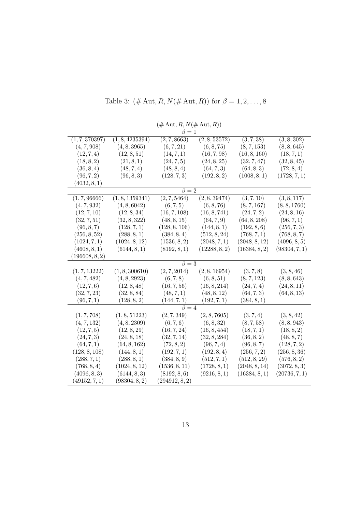| $(\#\operatorname{Aut},R,N(\#\operatorname{Aut},R))$ |                 |                |               |               |               |  |  |
|------------------------------------------------------|-----------------|----------------|---------------|---------------|---------------|--|--|
|                                                      |                 | $\beta = 1$    |               |               |               |  |  |
| (1, 7, 370397)                                       | (1, 8, 4235394) | (2, 7, 8663)   | (2, 8, 53572) | (3, 7, 38)    | (3, 8, 302)   |  |  |
| (4, 7, 908)                                          | (4, 8, 3965)    | (6, 7, 21)     | (6, 8, 75)    | (8, 7, 153)   | (8, 8, 645)   |  |  |
| (12, 7, 4)                                           | (12, 8, 51)     | (14, 7, 1)     | (16, 7, 98)   | (16, 8, 160)  | (18, 7, 1)    |  |  |
| (18, 8, 2)                                           | (21, 8, 1)      | (24, 7, 5)     | (24, 8, 25)   | (32, 7, 47)   | (32, 8, 45)   |  |  |
| (36, 8, 4)                                           | (48, 7, 4)      | (48, 8, 4)     | (64, 7, 3)    | (64, 8, 3)    | (72, 8, 4)    |  |  |
| (96, 7, 2)                                           | (96, 8, 3)      | (128, 7, 3)    | (192, 8, 2)   | (1008, 8, 1)  | (1728, 7, 1)  |  |  |
| (4032, 8, 1)                                         |                 |                |               |               |               |  |  |
|                                                      |                 | $\beta = 2$    |               |               |               |  |  |
| (1, 7, 96666)                                        | (1, 8, 1359341) | (2, 7, 5464)   | (2, 8, 39474) | (3, 7, 10)    | (3, 8, 117)   |  |  |
| (4, 7, 932)                                          | (4, 8, 6042)    | (6, 7, 5)      | (6, 8, 76)    | (8, 7, 167)   | (8, 8, 1760)  |  |  |
| (12, 7, 10)                                          | (12, 8, 34)     | (16, 7, 108)   | (16, 8, 741)  | (24, 7, 2)    | (24, 8, 16)   |  |  |
| (32, 7, 51)                                          | (32, 8, 322)    | (48, 8, 15)    | (64, 7, 9)    | (64, 8, 208)  | (96, 7, 1)    |  |  |
| (96, 8, 7)                                           | (128, 7, 1)     | (128, 8, 106)  | (144, 8, 1)   | (192, 8, 6)   | (256, 7, 3)   |  |  |
| (256, 8, 52)                                         | (288, 8, 1)     | (384, 8, 4)    | (512, 8, 24)  | (768, 7, 1)   | (768, 8, 7)   |  |  |
| (1024, 7, 1)                                         | (1024, 8, 12)   | (1536, 8, 2)   | (2048, 7, 1)  | (2048, 8, 12) | (4096, 8, 5)  |  |  |
| (4608, 8, 1)                                         | (6144, 8, 1)    | (8192, 8, 1)   | (12288, 8, 2) | (16384, 8, 2) | (98304, 7, 1) |  |  |
| (196608, 8, 2)                                       |                 |                |               |               |               |  |  |
|                                                      |                 | $\beta=3$      |               |               |               |  |  |
| (1, 7, 13222)                                        | (1, 8, 300610)  | (2, 7, 2014)   | (2, 8, 16954) | (3, 7, 8)     | (3, 8, 46)    |  |  |
| (4, 7, 482)                                          | (4, 8, 2923)    | (6, 7, 8)      | (6, 8, 51)    | (8, 7, 123)   | (8, 8, 643)   |  |  |
| (12, 7, 6)                                           | (12, 8, 48)     | (16, 7, 56)    | (16, 8, 214)  | (24, 7, 4)    | (24, 8, 11)   |  |  |
| (32, 7, 23)                                          | (32, 8, 84)     | (48, 7, 1)     | (48, 8, 12)   | (64, 7, 3)    | (64, 8, 13)   |  |  |
| (96, 7, 1)                                           | (128, 8, 2)     | (144, 7, 1)    | (192, 7, 1)   | (384, 8, 1)   |               |  |  |
|                                                      |                 | $\beta = 4$    |               |               |               |  |  |
| (1, 7, 708)                                          | (1, 8, 51223)   | (2, 7, 349)    | (2, 8, 7605)  | (3, 7, 4)     | (3, 8, 42)    |  |  |
| (4, 7, 132)                                          | (4, 8, 2309)    | (6, 7, 6)      | (6, 8, 32)    | (8, 7, 58)    | (8, 8, 943)   |  |  |
| (12, 7, 5)                                           | (12, 8, 29)     | (16, 7, 24)    | (16, 8, 454)  | (18, 7, 1)    | (18, 8, 2)    |  |  |
| (24, 7, 3)                                           | (24, 8, 18)     | (32, 7, 14)    | (32, 8, 284)  | (36, 8, 2)    | (48, 8, 7)    |  |  |
| (64, 7, 1)                                           | (64, 8, 162)    | (72, 8, 2)     | (96, 7, 4)    | (96, 8, 7)    | (128, 7, 2)   |  |  |
| (128, 8, 108)                                        | (144, 8, 1)     | (192, 7, 1)    | (192, 8, 4)   | (256, 7, 2)   | (256, 8, 36)  |  |  |
| (288, 7, 1)                                          | (288, 8, 1)     | (384, 8, 9)    | (512, 7, 1)   | (512, 8, 29)  | (576, 8, 2)   |  |  |
| (768, 8, 4)                                          | (1024, 8, 12)   | (1536, 8, 11)  | (1728, 8, 1)  | (2048, 8, 14) | (3072, 8, 3)  |  |  |
| (4096, 8, 3)                                         | (6144, 8, 3)    | (8192, 8, 6)   | (9216, 8, 1)  | (16384, 8, 1) | (20736, 7, 1) |  |  |
| (49152,7,1)                                          | (98304, 8, 2)   | (294912, 8, 2) |               |               |               |  |  |

Table 3:  $(\# \text{Aut}, R, N(\# \text{Aut}, R))$  for  $\beta = 1, 2, ..., 8$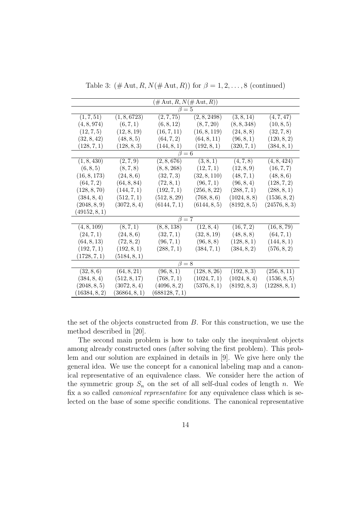| $(\# \text{Aut}, R, N(\# \text{Aut}, R))$ |               |                |              |              |               |  |  |
|-------------------------------------------|---------------|----------------|--------------|--------------|---------------|--|--|
| $\beta = 5$                               |               |                |              |              |               |  |  |
| (1, 7, 51)                                | (1, 8, 6723)  | (2, 7, 75)     | (2, 8, 2498) | (3, 8, 14)   | (4, 7, 47)    |  |  |
| (4, 8, 974)                               | (6, 7, 1)     | (6, 8, 12)     | (8, 7, 20)   | (8, 8, 348)  | (10, 8, 5)    |  |  |
| (12, 7, 5)                                | (12, 8, 19)   | (16, 7, 11)    | (16, 8, 119) | (24, 8, 8)   | (32, 7, 8)    |  |  |
| (32, 8, 42)                               | (48, 8, 5)    | (64, 7, 2)     | (64, 8, 11)  | (96, 8, 1)   | (120, 8, 2)   |  |  |
| (128, 7, 1)                               | (128, 8, 3)   | (144, 8, 1)    | (192, 8, 1)  | (320, 7, 1)  | (384, 8, 1)   |  |  |
|                                           |               | $\beta = 6$    |              |              |               |  |  |
| (1, 8, 430)                               | (2, 7, 9)     | (2, 8, 676)    | (3, 8, 1)    | (4, 7, 8)    | (4, 8, 424)   |  |  |
| (6, 8, 5)                                 | (8, 7, 8)     | (8, 8, 268)    | (12, 7, 1)   | (12, 8, 9)   | (16, 7, 7)    |  |  |
| (16, 8, 173)                              | (24, 8, 6)    | (32, 7, 3)     | (32, 8, 110) | (48, 7, 1)   | (48, 8, 6)    |  |  |
| (64, 7, 2)                                | (64, 8, 84)   | (72, 8, 1)     | (96, 7, 1)   | (96, 8, 4)   | (128, 7, 2)   |  |  |
| (128, 8, 70)                              | (144, 7, 1)   | (192, 7, 1)    | (256, 8, 22) | (288, 7, 1)  | (288, 8, 1)   |  |  |
| (384, 8, 4)                               | (512, 7, 1)   | (512, 8, 29)   | (768, 8, 6)  | (1024, 8, 8) | (1536, 8, 2)  |  |  |
| (2048, 8, 9)                              | (3072, 8, 4)  | (6144, 7, 1)   | (6144, 8, 5) | (8192, 8, 5) | (24576, 8, 3) |  |  |
| (49152, 8, 1)                             |               |                |              |              |               |  |  |
|                                           |               | $\beta = 7$    |              |              |               |  |  |
| (4, 8, 109)                               | (8, 7, 1)     | (8, 8, 138)    | (12, 8, 4)   | (16, 7, 2)   | (16, 8, 79)   |  |  |
| (24, 7, 1)                                | (24, 8, 6)    | (32, 7, 1)     | (32, 8, 19)  | (48, 8, 8)   | (64, 7, 1)    |  |  |
| (64, 8, 13)                               | (72, 8, 2)    | (96, 7, 1)     | (96, 8, 8)   | (128, 8, 1)  | (144, 8, 1)   |  |  |
| (192, 7, 1)                               | (192, 8, 1)   | (288, 7, 1)    | (384, 7, 1)  | (384, 8, 2)  | (576, 8, 2)   |  |  |
| (1728, 7, 1)                              | (5184, 8, 1)  |                |              |              |               |  |  |
| $\beta = 8$                               |               |                |              |              |               |  |  |
| (32, 8, 6)                                | (64, 8, 21)   | (96, 8, 1)     | (128, 8, 26) | (192, 8, 3)  | (256, 8, 11)  |  |  |
| (384, 8, 4)                               | (512, 8, 17)  | (768, 7, 1)    | (1024, 7, 1) | (1024, 8, 4) | (1536, 8, 5)  |  |  |
| (2048, 8, 5)                              | (3072, 8, 4)  | (4096, 8, 2)   | (5376, 8, 1) | (8192, 8, 3) | (12288, 8, 1) |  |  |
| (16384, 8, 2)                             | (36864, 8, 1) | (688128, 7, 1) |              |              |               |  |  |

Table 3:  $(\text{\# Aut}, R, N(\text{\# Aut}, R))$  for  $\beta = 1, 2, ..., 8$  (continued)

the set of the objects constructed from *B*. For this construction, we use the method described in [20].

The second main problem is how to take only the inequivalent objects among already constructed ones (after solving the first problem). This problem and our solution are explained in details in [9]. We give here only the general idea. We use the concept for a canonical labeling map and a canonical representative of an equivalence class. We consider here the action of the symmetric group  $S_n$  on the set of all self-dual codes of length *n*. We fix a so called *canonical representative* for any equivalence class which is selected on the base of some specific conditions. The canonical representative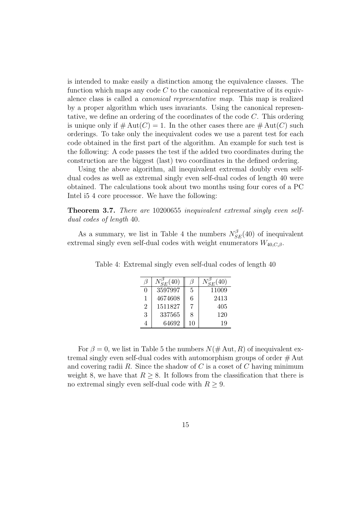is intended to make easily a distinction among the equivalence classes. The function which maps any code *C* to the canonical representative of its equivalence class is called a *canonical representative map*. This map is realized by a proper algorithm which uses invariants. Using the canonical representative, we define an ordering of the coordinates of the code *C*. This ordering is unique only if  $\#\text{Aut}(C) = 1$ . In the other cases there are  $\#\text{Aut}(C)$  such orderings. To take only the inequivalent codes we use a parent test for each code obtained in the first part of the algorithm. An example for such test is the following: A code passes the test if the added two coordinates during the construction are the biggest (last) two coordinates in the defined ordering.

Using the above algorithm, all inequivalent extremal doubly even selfdual codes as well as extremal singly even self-dual codes of length 40 were obtained. The calculations took about two months using four cores of a PC Intel i5 4 core processor. We have the following:

**Theorem 3.7.** *There are* 10200655 *inequivalent extremal singly even selfdual codes of length* 40*.*

As a summary, we list in Table 4 the numbers  $N_{SE}^{\beta}(40)$  of inequivalent extremal singly even self-dual codes with weight enumerators *W*40*,C,β*.

|                  | $N_{SE}^{\prime}(40)$ |    | (40)<br>$N_{SE}^{\nu}{}'$ |
|------------------|-----------------------|----|---------------------------|
| $\left( \right)$ | 3597997               | 5  | 11009                     |
| 1                | 4674608               | 6  | 2413                      |
| $\overline{2}$   | 1511827               |    | 405                       |
| 3                | 337565                | 8  | 120                       |
|                  | 64692                 | 10 | 19                        |

Table 4: Extremal singly even self-dual codes of length 40

For  $\beta = 0$ , we list in Table 5 the numbers  $N(\text{\# Aut}, R)$  of inequivalent extremal singly even self-dual codes with automorphism groups of order # Aut and covering radii *R*. Since the shadow of *C* is a coset of *C* having minimum weight 8, we have that  $R \geq 8$ . It follows from the classification that there is no extremal singly even self-dual code with  $R \geq 9$ .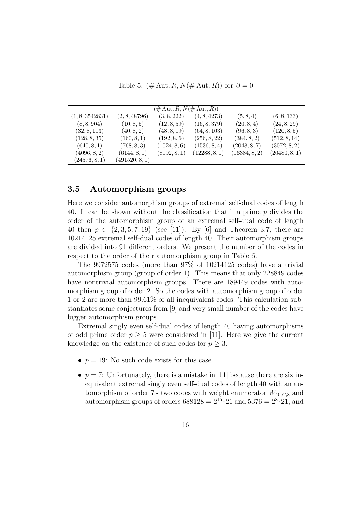Table 5:  $(\text{\# Aut}, R, N(\text{\# Aut}, R))$  for  $\beta = 0$ 

| $(\# \text{Aut}, R, N(\# \text{Aut}, R))$ |                |              |               |               |               |  |  |  |
|-------------------------------------------|----------------|--------------|---------------|---------------|---------------|--|--|--|
| (1, 8, 3542831)                           | (2, 8, 48796)  | (3, 8, 222)  | (4, 8, 4273)  | (5, 8, 4)     | (6, 8, 133)   |  |  |  |
| (8, 8, 904)                               | (10, 8, 5)     | (12, 8, 59)  | (16, 8, 379)  | (20, 8, 4)    | (24, 8, 29)   |  |  |  |
| (32, 8, 113)                              | (40, 8, 2)     | (48, 8, 19)  | (64, 8, 103)  | (96, 8, 3)    | (120, 8, 5)   |  |  |  |
| (128, 8, 35)                              | (160, 8, 1)    | (192, 8, 6)  | (256, 8, 22)  | (384, 8, 2)   | (512, 8, 14)  |  |  |  |
| (640, 8, 1)                               | (768, 8, 3)    | (1024, 8, 6) | (1536, 8, 4)  | (2048, 8, 7)  | (3072, 8, 2)  |  |  |  |
| (4096, 8, 2)                              | (6144, 8, 1)   | (8192, 8, 1) | (12288, 8, 1) | (16384, 8, 2) | (20480, 8, 1) |  |  |  |
| (24576, 8, 1)                             | (491520, 8, 1) |              |               |               |               |  |  |  |

### **3.5 Automorphism groups**

Here we consider automorphism groups of extremal self-dual codes of length 40. It can be shown without the classification that if a prime *p* divides the order of the automorphism group of an extremal self-dual code of length 40 then *p ∈ {*2*,* 3*,* 5*,* 7*,* 19*}* (see [11]). By [6] and Theorem 3.7, there are 10214125 extremal self-dual codes of length 40. Their automorphism groups are divided into 91 different orders. We present the number of the codes in respect to the order of their automorphism group in Table 6.

The 9972575 codes (more than 97% of 10214125 codes) have a trivial automorphism group (group of order 1). This means that only 228849 codes have nontrivial automorphism groups. There are 189449 codes with automorphism group of order 2. So the codes with automorphism group of order 1 or 2 are more than 99*.*61% of all inequivalent codes. This calculation substantiates some conjectures from [9] and very small number of the codes have bigger automorphism groups.

Extremal singly even self-dual codes of length 40 having automorphisms of odd prime order  $p \geq 5$  were considered in [11]. Here we give the current knowledge on the existence of such codes for  $p \geq 3$ .

- $p = 19$ : No such code exists for this case.
- $p = 7$ : Unfortunately, there is a mistake in [11] because there are six inequivalent extremal singly even self-dual codes of length 40 with an automorphism of order  $7$  - two codes with weight enumerator  $W_{40,C,8}$  and automorphism groups of orders  $688128 = 2^{15} \cdot 21$  and  $5376 = 2^8 \cdot 21$ , and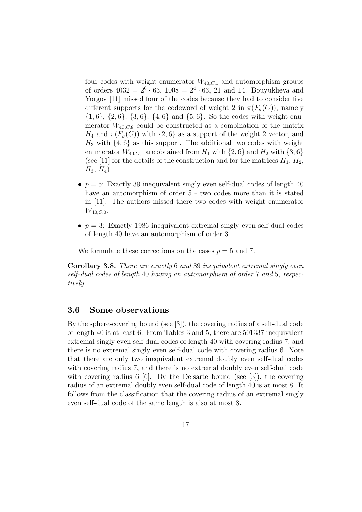four codes with weight enumerator  $W_{40,C,1}$  and automorphism groups of orders  $4032 = 2^6 \cdot 63$ ,  $1008 = 2^4 \cdot 63$ , 21 and 14. Bouyuklieva and Yorgov [11] missed four of the codes because they had to consider five different supports for the codeword of weight 2 in  $\pi(F_{\sigma}(C))$ , namely *{*1*,* 6*}*, *{*2*,* 6*}*, *{*3*,* 6*}*, *{*4*,* 6*}* and *{*5*,* 6*}*. So the codes with weight enumerator  $W_{40,C,8}$  could be constructed as a combination of the matrix *H*<sub>4</sub> and  $\pi(F_{\sigma}(C))$  with  $\{2, 6\}$  as a support of the weight 2 vector, and  $H_3$  with  $\{4, 6\}$  as this support. The additional two codes with weight enumerator  $W_{40,C,1}$  are obtained from  $H_1$  with  $\{2,6\}$  and  $H_2$  with  $\{3,6\}$ (see [11] for the details of the construction and for the matrices  $H_1, H_2$ ,  $H_3$ ,  $H_4$ ).

- $p = 5$ : Exactly 39 inequivalent singly even self-dual codes of length 40 have an automorphism of order 5 - two codes more than it is stated in [11]. The authors missed there two codes with weight enumerator *W*40*,C,*0.
- $p = 3$ : Exactly 1986 inequivalent extremal singly even self-dual codes of length 40 have an automorphism of order 3.

We formulate these corrections on the cases  $p = 5$  and 7.

**Corollary 3.8.** *There are exactly* 6 *and* 39 *inequivalent extremal singly even self-dual codes of length* 40 *having an automorphism of order* 7 *and* 5*, respectively.*

#### **3.6 Some observations**

By the sphere-covering bound (see [3]), the covering radius of a self-dual code of length 40 is at least 6. From Tables 3 and 5, there are 501337 inequivalent extremal singly even self-dual codes of length 40 with covering radius 7, and there is no extremal singly even self-dual code with covering radius 6. Note that there are only two inequivalent extremal doubly even self-dual codes with covering radius 7, and there is no extremal doubly even self-dual code with covering radius 6 [6]. By the Delsarte bound (see [3]), the covering radius of an extremal doubly even self-dual code of length 40 is at most 8. It follows from the classification that the covering radius of an extremal singly even self-dual code of the same length is also at most 8.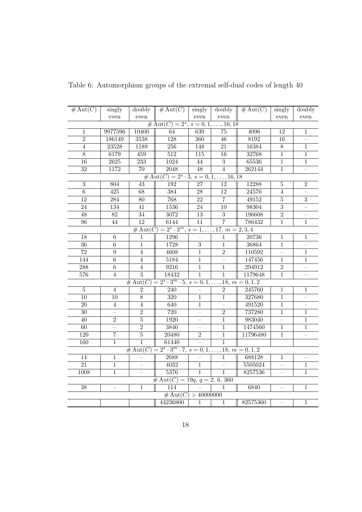| $\overline{\# \mathrm{Aut}(C)}$          | singly                   |                 | doubly $\parallel \# \text{Aut}(C) \parallel$                                 | singly            | doubly          | # $Aut(C)$ | singly                   | doubly                   |
|------------------------------------------|--------------------------|-----------------|-------------------------------------------------------------------------------|-------------------|-----------------|------------|--------------------------|--------------------------|
|                                          | even                     | even            |                                                                               | even              | even            |            | even                     | even                     |
| # Aut $(C) = 2^s$ , $s = 0, 1, , 16, 18$ |                          |                 |                                                                               |                   |                 |            |                          |                          |
| 1                                        | 9977596                  | 10400           | 64                                                                            | 639               | $\overline{75}$ | 4096       | $\overline{12}$          | 1                        |
| $\overline{2}$                           | 186149                   | 3538            | $\overline{128}$                                                              | 360               | 46              | 8192       | 16                       | $\overline{\phantom{0}}$ |
| $\overline{4}$                           | 23528                    | 1189            | 256                                                                           | 148               | $\overline{21}$ | 16384      | $\overline{8}$           | $\overline{1}$           |
| $\overline{8}$                           | 6179                     | 459             | 512                                                                           | $\overline{115}$  | $\overline{16}$ | 32768      | $\overline{1}$           | $\mathbf{1}$             |
| $\overline{16}$                          | 2625                     | 233             | 1024                                                                          | 44                | $\overline{3}$  | 65536      | $\mathbf{1}$             | $\mathbf{1}$             |
| $\overline{32}$                          | 1172                     | $\overline{70}$ | 2048                                                                          | 48                | $\overline{4}$  | 262144     | $\overline{1}$           | $\equiv$                 |
|                                          |                          |                 | # Aut $(C) = 2^s \cdot 3$ , $s = 0, 1, \ldots, 16, 18$                        |                   |                 |            |                          |                          |
| $\overline{3}$                           | 804                      | $\overline{43}$ | 192                                                                           | 27                | 12              | $12288\,$  | $\bf 5$                  | $\overline{2}$           |
| $\overline{6}$                           | $\overline{425}$         | $\overline{68}$ | 384                                                                           | $\overline{28}$   | $\overline{12}$ | 24576      | 4                        | $\equiv$                 |
| $\overline{12}$                          | $\overline{284}$         | $\overline{80}$ | 768                                                                           | $\overline{22}$   | $\overline{7}$  | 49152      | $\overline{5}$           | $\overline{3}$           |
| $\overline{24}$                          | 134                      | $\overline{41}$ | 1536                                                                          | $\overline{24}$   | $\overline{10}$ | 98304      | $\overline{3}$           |                          |
| $\overline{48}$                          | $\overline{82}$          | $\overline{34}$ | 3072                                                                          | $\overline{13}$   | $\overline{3}$  | 196608     | $\overline{2}$           | $\equiv$                 |
| $\overline{96}$                          | $\overline{44}$          | $\overline{12}$ | 6144                                                                          | $\overline{11}$   | $\overline{7}$  | 786432     | $\overline{1}$           | $\overline{1}$           |
|                                          |                          |                 | $\#\operatorname{Aut}(C) = 2^s \cdot 3^m, s = 1, \ldots, 17, m = 2, 3, 4$     |                   |                 |            |                          |                          |
| 18                                       | 6                        | 1               | 1296                                                                          |                   | 1               | 20736      | $\mathbf{1}$             | $\mathbf{1}$             |
| $\overline{36}$                          | $\overline{6}$           | $\overline{1}$  | 1728                                                                          | $\overline{3}$    | $\mathbf{1}$    | 36864      | $\overline{1}$           |                          |
| $\overline{72}$                          | $\overline{9}$           | $\overline{4}$  | 4608                                                                          | $\overline{1}$    | $\overline{2}$  | 110592     |                          | $\mathbf{1}$             |
| 144                                      | $\overline{6}$           | $\overline{4}$  | 5184                                                                          | $\overline{1}$    |                 | 147456     | $\overline{1}$           | $\overline{1}$           |
| 288                                      | $\overline{6}$           | $\overline{4}$  | 9216                                                                          | $\overline{1}$    | $\mathbf{1}$    | 294912     | $\overline{2}$           | $\frac{1}{2}$            |
| 576                                      | $\overline{4}$           | $\overline{3}$  | 18432                                                                         | $\mathbf{1}$      | $\mathbf{1}$    | 1179648    | $\mathbf{1}$             |                          |
|                                          |                          |                 | $\# \text{Aut}(C) = 2^s \cdot 3^m \cdot 5, s = 0, 1, \ldots, 18, m = 0, 1, 2$ |                   |                 |            |                          |                          |
| $\overline{5}$                           | $\overline{4}$           | $\overline{2}$  | 240                                                                           |                   | $\overline{2}$  | 245760     | $\mathbf{1}$             | 1                        |
| 10                                       | 10                       | $\overline{8}$  | 320                                                                           | $\mathbf{1}$      | $\overline{1}$  | 327680     | $\overline{1}$           |                          |
| $\overline{20}$                          | $\overline{4}$           | $\overline{4}$  | 640                                                                           | $\mathbf{1}$      |                 | 491520     | $\overline{1}$           |                          |
| $\overline{30}$                          | $\overline{a}$           | $\overline{2}$  | 720                                                                           | $\equiv$          | $\overline{2}$  | 737280     | $\overline{1}$           | $\mathbf{1}$             |
| $\overline{40}$                          | $\overline{2}$           | $\overline{5}$  | 1920                                                                          | $\qquad \qquad -$ | $\mathbf{1}$    | 983040     | $\overline{\phantom{0}}$ | 1                        |
| $\overline{60}$                          | $\overline{\phantom{0}}$ | $\overline{2}$  | 3840                                                                          | $\qquad \qquad -$ | $\mathbf{1}$    | 1474560    | $\mathbf{1}$             | $\mathbf{1}$             |
| $\overline{120}$                         | $\overline{7}$           | $\overline{5}$  | 20480                                                                         | $\overline{2}$    | $\mathbf 1$     | 11796480   | $\mathbf{1}$             | $\overline{\phantom{0}}$ |
| 160                                      | $\overline{1}$           | $\overline{1}$  | 61440                                                                         |                   | $\overline{1}$  |            |                          |                          |
|                                          |                          |                 | $\# \text{Aut}(C) = 2^s \cdot 3^m \cdot 7, s = 0, 1, \dots, 18, m = 0, 1, 2$  |                   |                 |            |                          |                          |
| $\overline{14}$                          | $\mathbf 1$              |                 | 2688                                                                          |                   | $\mathbf{1}$    | 688128     | $\overline{1}$           |                          |
| $\overline{21}$                          | $\overline{1}$           |                 | 4032                                                                          | $\overline{1}$    |                 | 5505024    | $\equiv$                 | $\overline{1}$           |
| 1008                                     | $\overline{1}$           | $\frac{1}{2}$   | 5376                                                                          | $\mathbf{1}$      | $\mathbf{1}$    | 8257536    | $\overline{\phantom{0}}$ | 1                        |
|                                          |                          |                 | # Aut $(C)$ = 19q, q = 2, 6, 360                                              |                   |                 |            |                          |                          |
| $\overline{38}$                          |                          | $\mathbf{1}$    | 114                                                                           |                   | $\mathbf{1}$    | 6840       |                          | 1                        |
|                                          |                          |                 | # $Aut(C) > 40000000$                                                         |                   |                 |            |                          |                          |
|                                          |                          |                 | 44236800                                                                      | $\mathbf{1}$      | $\mathbf{1}$    | 82575360   |                          | 1                        |
|                                          |                          |                 |                                                                               |                   |                 |            |                          |                          |

Table 6: Automorphism groups of the extremal self-dual codes of length 40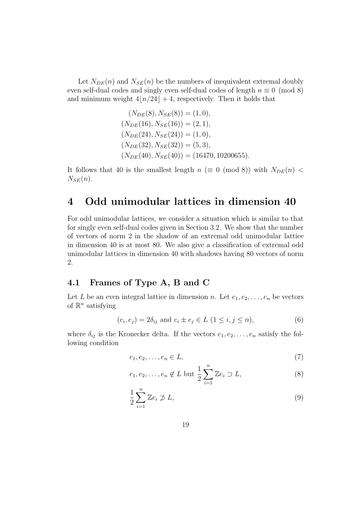Let  $N_{DE}(n)$  and  $N_{SE}(n)$  be the numbers of inequivalent extremal doubly even self-dual codes and singly even self-dual codes of length  $n \equiv 0 \pmod{8}$ and minimum weight  $4|n/24| + 4$ , respectively. Then it holds that

$$
(N_{DE}(8), N_{SE}(8)) = (1, 0),
$$
  
\n
$$
(N_{DE}(16), N_{SE}(16)) = (2, 1),
$$
  
\n
$$
(N_{DE}(24), N_{SE}(24)) = (1, 0),
$$
  
\n
$$
(N_{DE}(32), N_{SE}(32)) = (5, 3),
$$
  
\n
$$
(N_{DE}(40), N_{SE}(40)) = (16470, 10200655)
$$

It follows that 40 is the smallest length  $n \ (\equiv 0 \pmod{8})$  with  $N_{DE}(n)$  $N_{SE}(n)$ .

### **4 Odd unimodular lattices in dimension 40**

For odd unimodular lattices, we consider a situation which is similar to that for singly even self-dual codes given in Section 3.2. We show that the number of vectors of norm 2 in the shadow of an extremal odd unimodular lattice in dimension 40 is at most 80. We also give a classification of extremal odd unimodular lattices in dimension 40 with shadows having 80 vectors of norm 2.

#### **4.1 Frames of Type A, B and C**

Let *L* be an even integral lattice in dimension *n*. Let  $e_1, e_2, \ldots, e_n$  be vectors of R *n* satisfying

$$
(e_i, e_j) = 2\delta_{ij}
$$
 and  $e_i \pm e_j \in L \ (1 \le i, j \le n),$  (6)

where  $\delta_{ij}$  is the Kronecker delta. If the vectors  $e_1, e_2, \ldots, e_n$  satisfy the following condition

$$
e_1, e_2, \dots, e_n \in L,\tag{7}
$$

$$
e_1, e_2, \dots, e_n \notin L \text{ but } \frac{1}{2} \sum_{i=1}^n \mathbb{Z} e_i \supset L,
$$
 (8)

$$
\frac{1}{2} \sum_{i=1}^{n} \mathbb{Z}e_i \not\supset L,\tag{9}
$$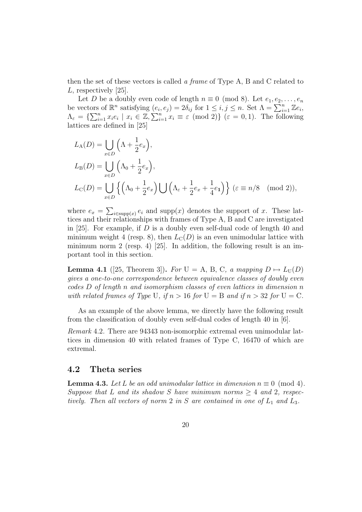then the set of these vectors is called *a frame* of Type A, B and C related to *L*, respectively [25].

Let *D* be a doubly even code of length  $n \equiv 0 \pmod{8}$ . Let  $e_1, e_2, \ldots, e_n$ be vectors of  $\mathbb{R}^n$  satisfying  $(e_i, e_j) = 2\delta_{ij}$  for  $1 \le i, j \le n$ . Set  $\Lambda = \sum_{i=1}^n \mathbb{Z}e_i$ ,  $\Lambda_{\varepsilon} = \left\{ \sum_{i=1}^{n} x_i e_i \mid x_i \in \mathbb{Z}, \sum_{i=1}^{n} x_i \equiv \varepsilon \pmod{2} \right\}$   $(\varepsilon = 0, 1)$ . The following lattices are defined in [25]

$$
L_{A}(D) = \bigcup_{x \in D} \left( \Lambda + \frac{1}{2} e_x \right),
$$
  
\n
$$
L_{B}(D) = \bigcup_{x \in D} \left( \Lambda_0 + \frac{1}{2} e_x \right),
$$
  
\n
$$
L_{C}(D) = \bigcup_{x \in D} \left\{ \left( \Lambda_0 + \frac{1}{2} e_x \right) \bigcup \left( \Lambda_{\varepsilon} + \frac{1}{2} e_x + \frac{1}{4} e_1 \right) \right\} \ (\varepsilon \equiv n/8 \pmod{2}),
$$

where  $e_x = \sum_{i \in \text{supp}(x)} e_i$  and supp $(x)$  denotes the support of *x*. These lattices and their relationships with frames of Type A, B and C are investigated in [25]. For example, if *D* is a doubly even self-dual code of length 40 and minimum weight 4 (resp. 8), then  $L<sub>C</sub>(D)$  is an even unimodular lattice with minimum norm 2 (resp. 4) [25]. In addition, the following result is an important tool in this section.

**Lemma 4.1** ([25, Theorem 3]). *For*  $U = A$ , B, C, a mapping  $D \mapsto L_U(D)$ *gives a one-to-one correspondence between equivalence classes of doubly even codes D of length n and isomorphism classes of even lattices in dimension n with related frames of Type* U, if  $n > 16$  *for* U = B *and if*  $n > 32$  *for* U = C.

As an example of the above lemma, we directly have the following result from the classification of doubly even self-dual codes of length 40 in [6].

*Remark* 4.2*.* There are 94343 non-isomorphic extremal even unimodular lattices in dimension 40 with related frames of Type C, 16470 of which are extremal.

#### **4.2 Theta series**

**Lemma 4.3.** *Let L be an odd unimodular lattice in dimension*  $n \equiv 0 \pmod{4}$ *. Suppose that L and its shadow S have minimum norms*  $\geq 4$  *and* 2*, respectively. Then all vectors of norm* 2 *in S* are contained in one of  $L_1$  *and*  $L_3$ *.*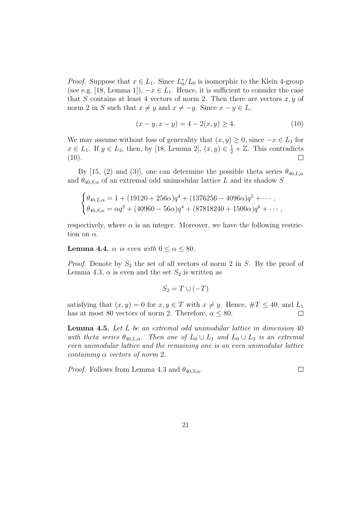*Proof.* Suppose that  $x \in L_1$ . Since  $L_0^*/L_0$  is isomorphic to the Klein 4-group (see e.g. [18, Lemma 1]),  $-x \in L_1$ . Hence, it is sufficient to consider the case that *S* contains at least 4 vectors of norm 2. Then there are vectors  $x, y$  of norm 2 in *S* such that  $x \neq y$  and  $x \neq -y$ . Since  $x - y \in L$ ,

$$
(x - y, x - y) = 4 - 2(x, y) \ge 4.
$$
 (10)

We may assume without loss of generality that  $(x, y) \geq 0$ , since  $-x \in L_1$  for *x* ∈ *L*<sub>1</sub>. If *y* ∈ *L*<sub>3</sub>, then, by [18, Lemma 2],  $(x, y) \in \frac{1}{2} + \mathbb{Z}$ . This contradicts  $(10).$  $\perp$ 

By [15, (2) and (3)], one can determine the possible theta series  $\theta_{40,L,\alpha}$ and  $\theta_{40,S,\alpha}$  of an extremal odd unimodular lattice *L* and its shadow *S* 

$$
\begin{cases}\n\theta_{40,L,\alpha} = 1 + (19120 + 256\alpha)q^4 + (1376256 - 4096\alpha)q^5 + \cdots, \\
\theta_{40,S,\alpha} = \alpha q^2 + (40960 - 56\alpha)q^4 + (87818240 + 1500\alpha)q^6 + \cdots,\n\end{cases}
$$

respectively, where  $\alpha$  is an integer. Moreover, we have the following restriction on *α*.

**Lemma 4.4.**  $\alpha$  *is even with*  $0 \leq \alpha \leq 80$ *.* 

*Proof.* Denote by  $S_2$  the set of all vectors of norm 2 in *S*. By the proof of Lemma 4.3,  $\alpha$  is even and the set  $S_2$  is written as

$$
S_2 = T \cup (-T)
$$

satisfying that  $(x, y) = 0$  for  $x, y \in T$  with  $x \neq y$ . Hence,  $\#T \leq 40$ , and  $L_1$ has at most 80 vectors of norm 2. Therefore,  $\alpha \leq 80$ .  $\Box$ 

**Lemma 4.5.** *Let L be an extremal odd unimodular lattice in dimension* 40 *with theta series*  $\theta_{40,L,\alpha}$ *. Then one of*  $L_0 \cup L_1$  *and*  $L_0 \cup L_3$  *is an extremal even unimodular lattice and the remaining one is an even unimodular lattice containing α vectors of norm* 2*.*

*Proof.* Follows from Lemma 4.3 and  $\theta_{40,S,\alpha}$ .  $\Box$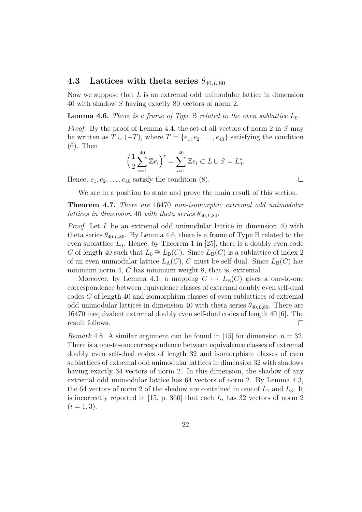#### **4.3** Lattices with theta series  $\theta_{40,L,80}$

Now we suppose that *L* is an extremal odd unimodular lattice in dimension 40 with shadow *S* having exactly 80 vectors of norm 2.

**Lemma 4.6.** *There is a frame of Type* B *related to the even sublattice*  $L_0$ *.* 

*Proof.* By the proof of Lemma 4.4, the set of all vectors of norm 2 in *S* may be written as  $T \cup (-T)$ , where  $T = \{e_1, e_2, \ldots, e_{40}\}$  satisfying the condition (6). Then

$$
\left(\frac{1}{2}\sum_{i=1}^{40} \mathbb{Z}e_i\right)^* = \sum_{i=1}^{40} \mathbb{Z}e_i \subset L \cup S = L_0^*.
$$

Hence,  $e_1, e_2, \ldots, e_{40}$  satisfy the condition  $(8)$ .

We are in a position to state and prove the main result of this section.

**Theorem 4.7.** *There are* 16470 *non-isomorphic extremal odd unimodular lattices in dimension* 40 *with theta series*  $\theta_{40,L,80}$ *.* 

*Proof.* Let *L* be an extremal odd unimodular lattice in dimension 40 with theta series  $\theta_{40,L,80}$ . By Lemma 4.6, there is a frame of Type B related to the even sublattice  $L_0$ . Hence, by Theorem 1 in [25], there is a doubly even code *C* of length 40 such that  $L_0 \cong L_B(C)$ . Since  $L_B(C)$  is a sublattice of index 2 of an even unimodular lattice  $L_A(C)$ , *C* must be self-dual. Since  $L_B(C)$  has minimum norm 4, *C* has minimum weight 8, that is, extremal.

Moreover, by Lemma 4.1, a mapping  $C \mapsto L_{\text{B}}(C)$  gives a one-to-one correspondence between equivalence classes of extremal doubly even self-dual codes *C* of length 40 and isomorphism classes of even sublattices of extremal odd unimodular lattices in dimension 40 with theta series  $\theta_{40,L,80}$ . There are 16470 inequivalent extremal doubly even self-dual codes of length 40 [6]. The result follows.  $\Box$ 

*Remark* 4.8. A similar argument can be found in [15] for dimension  $n = 32$ . There is a one-to-one correspondence between equivalence classes of extremal doubly even self-dual codes of length 32 and isomorphism classes of even sublattices of extremal odd unimodular lattices in dimension 32 with shadows having exactly 64 vectors of norm 2. In this dimension, the shadow of any extremal odd unimodular lattice has 64 vectors of norm 2. By Lemma 4.3, the 64 vectors of norm 2 of the shadow are contained in one of  $L_1$  and  $L_3$ . It is incorrectly reported in  $[15, p. 360]$  that each  $L<sub>i</sub>$  has 32 vectors of norm 2  $(i = 1, 3).$ 

 $\Box$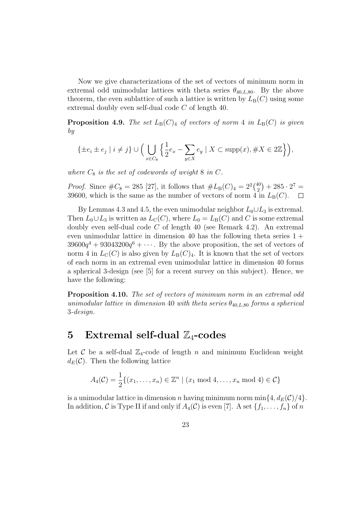Now we give characterizations of the set of vectors of minimum norm in extremal odd unimodular lattices with theta series  $\theta_{40,L,80}$ . By the above theorem, the even sublattice of such a lattice is written by  $L_B(C)$  using some extremal doubly even self-dual code *C* of length 40.

**Proposition 4.9.** *The set*  $L_B(C)_4$  *of vectors of norm* 4 *in*  $L_B(C)$  *is given by*

$$
\{\pm e_i \pm e_j \mid i \neq j\} \cup \Big(\bigcup_{x \in C_8} \Big\{\frac{1}{2}e_x - \sum_{y \in X} e_y \mid X \subset \text{supp}(x), \#X \in 2\mathbb{Z}\Big\}\Big),\right.
$$

where  $C_8$  *is the set of codewords of weight* 8 *in*  $C$ *.* 

*Proof.* Since  $\#C_8 = 285$  [27], it follows that  $\#L_B(C)_4 = 2^2\binom{40}{2}$  $\binom{40}{2} + 285 \cdot 2^7 =$ 39600, which is the same as the number of vectors of norm 4 in  $L_B(C)$ .  $\Box$ 

By Lemmas 4.3 and 4.5, the even unimodular neighbor  $L_0 \cup L_3$  is extremal. Then  $L_0 \cup L_3$  is written as  $L_C(C)$ , where  $L_0 = L_B(C)$  and *C* is some extremal doubly even self-dual code *C* of length 40 (see Remark 4.2). An extremal even unimodular lattice in dimension 40 has the following theta series  $1 +$  $39600q<sup>4</sup> + 93043200q<sup>6</sup> + \cdots$ . By the above proposition, the set of vectors of norm 4 in  $L_{\rm C}(C)$  is also given by  $L_{\rm B}(C)_4$ . It is known that the set of vectors of each norm in an extremal even unimodular lattice in dimension 40 forms a spherical 3-design (see [5] for a recent survey on this subject). Hence, we have the following:

**Proposition 4.10.** *The set of vectors of minimum norm in an extremal odd unimodular lattice in dimension* 40 *with theta series*  $\theta_{40,L,80}$  *forms a spherical* 3*-design.*

### **5** Extremal self-dual  $\mathbb{Z}_4$ -codes

Let  $\mathcal C$  be a self-dual  $\mathbb Z_4$ -code of length  $n$  and minimum Euclidean weight  $d_E(\mathcal{C})$ . Then the following lattice

$$
A_4(\mathcal{C}) = \frac{1}{2} \{ (x_1, \dots, x_n) \in \mathbb{Z}^n \mid (x_1 \mod 4, \dots, x_n \mod 4) \in \mathcal{C} \}
$$

is a unimodular lattice in dimension *n* having minimum norm min $\{4, d_E(\mathcal{C})/4\}$ . In addition, *C* is Type II if and only if  $A_4(\mathcal{C})$  is even [7]. A set  $\{f_1, \ldots, f_n\}$  of *n*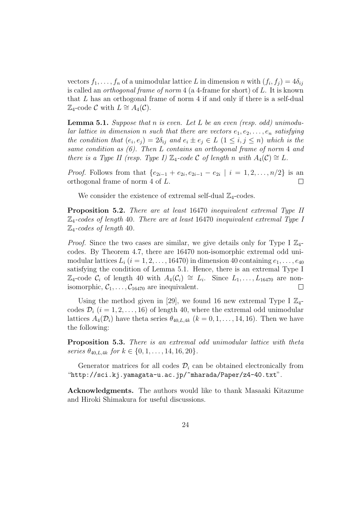vectors  $f_1, \ldots, f_n$  of a unimodular lattice *L* in dimension *n* with  $(f_i, f_j) = 4\delta_{ij}$ is called an *orthogonal frame of norm* 4 (a 4-frame for short) of *L*. It is known that *L* has an orthogonal frame of norm 4 if and only if there is a self-dual  $\mathbb{Z}_4$ -code *C* with  $L \cong A_4(\mathcal{C})$ .

**Lemma 5.1.** *Suppose that n is even. Let L be an even (resp. odd) unimodular lattice in dimension n such that there are vectors*  $e_1, e_2, \ldots, e_n$  *satisfying the condition that*  $(e_i, e_j) = 2\delta_{ij}$  *and*  $e_i \pm e_j \in L$   $(1 \leq i, j \leq n)$  *which is the same condition as (6). Then L contains an orthogonal frame of norm* 4 *and there is a Type II (resp. Type I)*  $\mathbb{Z}_4$ -code  $C$  *of length*  $n$  *with*  $A_4(C) \cong L$ .

*Proof.* Follows from that  $\{e_{2i-1} + e_{2i}, e_{2i-1} - e_{2i} \mid i = 1, 2, \ldots, n/2\}$  is an orthogonal frame of norm 4 of *L*.  $\Box$ 

We consider the existence of extremal self-dual  $\mathbb{Z}_4$ -codes.

**Proposition 5.2.** *There are at least* 16470 *inequivalent extremal Type II* Z4*-codes of length* 40*. There are at least* 16470 *inequivalent extremal Type I* Z4*-codes of length* 40*.*

*Proof.* Since the two cases are similar, we give details only for Type I  $\mathbb{Z}_4$ codes. By Theorem 4.7, there are 16470 non-isomorphic extremal odd unimodular lattices  $L_i$  ( $i = 1, 2, \ldots, 16470$ ) in dimension 40 containing  $e_1, \ldots, e_{40}$ satisfying the condition of Lemma 5.1. Hence, there is an extremal Type I  $\mathbb{Z}_4$ -code  $\mathcal{C}_i$  of length 40 with  $A_4(\mathcal{C}_i) \cong L_i$ . Since  $L_1, \ldots, L_{16470}$  are nonisomorphic,  $C_1, \ldots, C_{16470}$  are inequivalent.  $\Box$ 

Using the method given in [29], we found 16 new extremal Type I  $\mathbb{Z}_4$ codes  $\mathcal{D}_i$  ( $i = 1, 2, \ldots, 16$ ) of length 40, where the extremal odd unimodular lattices  $A_4(\mathcal{D}_i)$  have theta series  $\theta_{40,L,4k}$  ( $k = 0, 1, \ldots, 14, 16$ ). Then we have the following:

**Proposition 5.3.** *There is an extremal odd unimodular lattice with theta*  $series \theta_{40,L,4k}$  *for*  $k \in \{0, 1, \ldots, 14, 16, 20\}$ .

Generator matrices for all codes  $\mathcal{D}_i$  can be obtained electronically from "http://sci.kj.yamagata-u.ac.jp/~mharada/Paper/z4-40.txt".

**Acknowledgments.** The authors would like to thank Masaaki Kitazume and Hiroki Shimakura for useful discussions.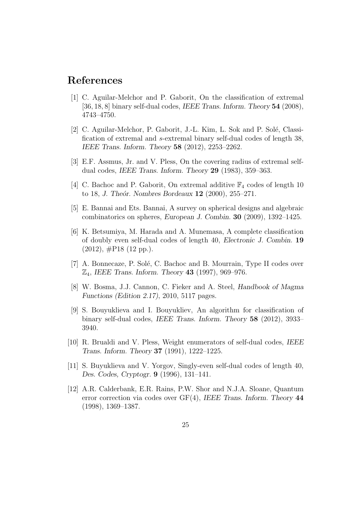### **References**

- [1] C. Aguilar-Melchor and P. Gaborit, On the classification of extremal [36*,* 18*,* 8] binary self-dual codes, *IEEE Trans. Inform. Theory* **54** (2008), 4743–4750.
- [2] C. Aguilar-Melchor, P. Gaborit, J.-L. Kim, L. Sok and P. Solé, Classification of extremal and *s*-extremal binary self-dual codes of length 38, *IEEE Trans. Inform. Theory* **58** (2012), 2253–2262.
- [3] E.F. Assmus, Jr. and V. Pless, On the covering radius of extremal selfdual codes, *IEEE Trans. Inform. Theory* **29** (1983), 359–363.
- [4] C. Bachoc and P. Gaborit, On extremal additive  $\mathbb{F}_4$  codes of length 10 to 18, *J. The´or. Nombres Bordeaux* **12** (2000), 255–271.
- [5] E. Bannai and Ets. Bannai, A survey on spherical designs and algebraic combinatorics on spheres, *European J. Combin.* **30** (2009), 1392–1425.
- [6] K. Betsumiya, M. Harada and A. Munemasa, A complete classification of doubly even self-dual codes of length 40, *Electronic J. Combin.* **19**  $(2012)$ ,  $\#P18$   $(12 \text{ pp.})$ .
- [7] A. Bonnecaze, P. Solé, C. Bachoc and B. Mourrain, Type II codes over Z4, *IEEE Trans. Inform. Theory* **43** (1997), 969–976.
- [8] W. Bosma, J.J. Cannon, C. Fieker and A. Steel, *Handbook of Magma Functions (Edition 2.17)*, 2010, 5117 pages.
- [9] S. Bouyuklieva and I. Bouyukliev, An algorithm for classification of binary self-dual codes, *IEEE Trans. Inform. Theory* **58** (2012), 3933– 3940.
- [10] R. Brualdi and V. Pless, Weight enumerators of self-dual codes, *IEEE Trans. Inform. Theory* **37** (1991), 1222–1225.
- [11] S. Buyuklieva and V. Yorgov, Singly-even self-dual codes of length 40, *Des. Codes, Cryptogr.* **9** (1996), 131–141.
- [12] A.R. Calderbank, E.R. Rains, P.W. Shor and N.J.A. Sloane, Quantum error correction via codes over GF(4), *IEEE Trans. Inform. Theory* **44** (1998), 1369–1387.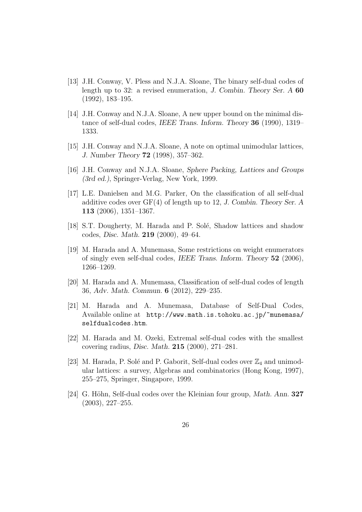- [13] J.H. Conway, V. Pless and N.J.A. Sloane, The binary self-dual codes of length up to 32: a revised enumeration, *J. Combin. Theory Ser. A* **60** (1992), 183–195.
- [14] J.H. Conway and N.J.A. Sloane, A new upper bound on the minimal distance of self-dual codes, *IEEE Trans. Inform. Theory* **36** (1990), 1319– 1333.
- [15] J.H. Conway and N.J.A. Sloane, A note on optimal unimodular lattices, *J. Number Theory* **72** (1998), 357–362.
- [16] J.H. Conway and N.J.A. Sloane, *Sphere Packing, Lattices and Groups (3rd ed.)*, Springer-Verlag, New York, 1999.
- [17] L.E. Danielsen and M.G. Parker, On the classification of all self-dual additive codes over GF(4) of length up to 12, *J. Combin. Theory Ser. A* **113** (2006), 1351–1367.
- [18] S.T. Dougherty, M. Harada and P. Solé, Shadow lattices and shadow codes, *Disc. Math.* **219** (2000), 49–64.
- [19] M. Harada and A. Munemasa, Some restrictions on weight enumerators of singly even self-dual codes, *IEEE Trans. Inform. Theory* **52** (2006), 1266–1269.
- [20] M. Harada and A. Munemasa, Classification of self-dual codes of length 36, *Adv. Math. Commun.* **6** (2012), 229–235.
- [21] M. Harada and A. Munemasa, Database of Self-Dual Codes, Available online at http://www.math.is.tohoku.ac.jp/~munemasa/ selfdualcodes.htm.
- [22] M. Harada and M. Ozeki, Extremal self-dual codes with the smallest covering radius, *Disc. Math.* **215** (2000), 271–281.
- [23] M. Harada, P. Solé and P. Gaborit, Self-dual codes over  $\mathbb{Z}_4$  and unimodular lattices: a survey, Algebras and combinatorics (Hong Kong, 1997), 255–275, Springer, Singapore, 1999.
- [24] G. Höhn, Self-dual codes over the Kleinian four group, *Math. Ann.* **327** (2003), 227–255.